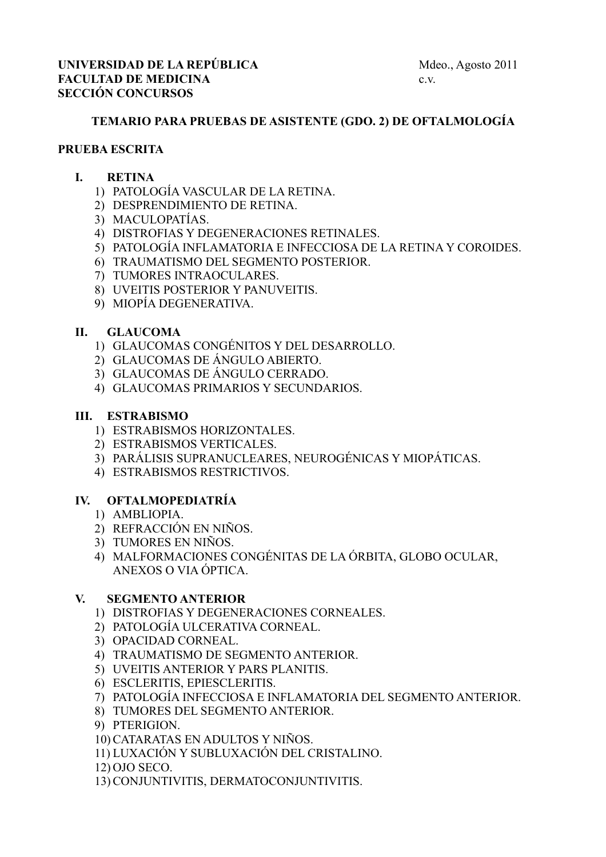## **TEMARIO PARA PRUEBAS DE ASISTENTE (GDO. 2) DE OFTALMOLOGÍA**

### **PRUEBA ESCRITA**

## **I. RETINA**

- 1) PATOLOGÍA VASCULAR DE LA RETINA.
- 2) DESPRENDIMIENTO DE RETINA.
- 3) MACULOPATÍAS.
- 4) DISTROFIAS Y DEGENERACIONES RETINALES.
- 5) PATOLOGÍA INFLAMATORIA E INFECCIOSA DE LA RETINA Y COROIDES.
- 6) TRAUMATISMO DEL SEGMENTO POSTERIOR.
- 7) TUMORES INTRAOCULARES.
- 8) UVEITIS POSTERIOR Y PANUVEITIS.
- 9) MIOPÍA DEGENERATIVA.

### **II. GLAUCOMA**

- 1) GLAUCOMAS CONGÉNITOS Y DEL DESARROLLO.
- 2) GLAUCOMAS DE ÁNGULO ABIERTO.
- 3) GLAUCOMAS DE ÁNGULO CERRADO.
- 4) GLAUCOMAS PRIMARIOS Y SECUNDARIOS.

### **III. ESTRABISMO**

- 1) ESTRABISMOS HORIZONTALES.
- 2) ESTRABISMOS VERTICALES.
- 3) PARÁLISIS SUPRANUCLEARES, NEUROGÉNICAS Y MIOPÁTICAS.
- 4) ESTRABISMOS RESTRICTIVOS.

## **IV. OFTALMOPEDIATRÍA**

- 1) AMBLIOPIA.
- 2) REFRACCIÓN EN NIÑOS.
- 3) TUMORES EN NIÑOS.
- 4) MALFORMACIONES CONGÉNITAS DE LA ÓRBITA, GLOBO OCULAR, ANEXOS O VIA ÓPTICA.

#### **V. SEGMENTO ANTERIOR**

- 1) DISTROFIAS Y DEGENERACIONES CORNEALES.
- 2) PATOLOGÍA ULCERATIVA CORNEAL.
- 3) OPACIDAD CORNEAL.
- 4) TRAUMATISMO DE SEGMENTO ANTERIOR.
- 5) UVEITIS ANTERIOR Y PARS PLANITIS.
- 6) ESCLERITIS, EPIESCLERITIS.
- 7) PATOLOGÍA INFECCIOSA E INFLAMATORIA DEL SEGMENTO ANTERIOR.
- 8) TUMORES DEL SEGMENTO ANTERIOR.
- 9) PTERIGION.
- 10) CATARATAS EN ADULTOS Y NIÑOS.
- 11) LUXACIÓN Y SUBLUXACIÓN DEL CRISTALINO.
- 12) OJO SECO.
- 13) CONJUNTIVITIS, DERMATOCONJUNTIVITIS.